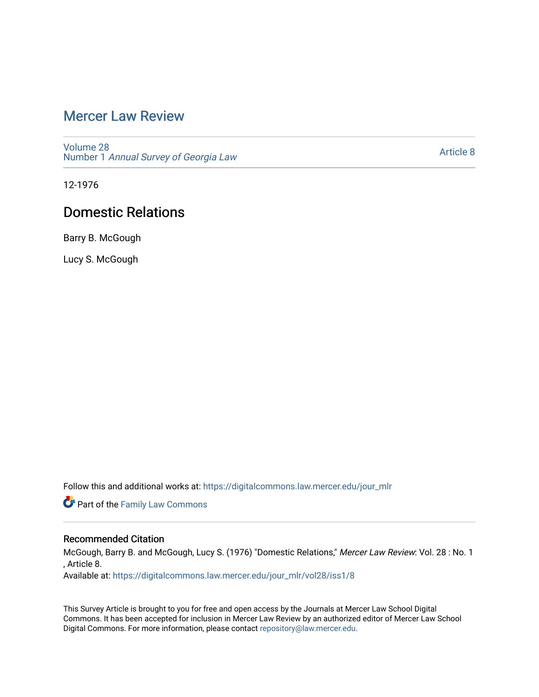## [Mercer Law Review](https://digitalcommons.law.mercer.edu/jour_mlr)

[Volume 28](https://digitalcommons.law.mercer.edu/jour_mlr/vol28) Number 1 [Annual Survey of Georgia Law](https://digitalcommons.law.mercer.edu/jour_mlr/vol28/iss1) 

[Article 8](https://digitalcommons.law.mercer.edu/jour_mlr/vol28/iss1/8) 

12-1976

## Domestic Relations

Barry B. McGough

Lucy S. McGough

Follow this and additional works at: [https://digitalcommons.law.mercer.edu/jour\\_mlr](https://digitalcommons.law.mercer.edu/jour_mlr?utm_source=digitalcommons.law.mercer.edu%2Fjour_mlr%2Fvol28%2Fiss1%2F8&utm_medium=PDF&utm_campaign=PDFCoverPages)

**Part of the Family Law Commons** 

### Recommended Citation

McGough, Barry B. and McGough, Lucy S. (1976) "Domestic Relations," Mercer Law Review: Vol. 28 : No. 1 , Article 8.

Available at: [https://digitalcommons.law.mercer.edu/jour\\_mlr/vol28/iss1/8](https://digitalcommons.law.mercer.edu/jour_mlr/vol28/iss1/8?utm_source=digitalcommons.law.mercer.edu%2Fjour_mlr%2Fvol28%2Fiss1%2F8&utm_medium=PDF&utm_campaign=PDFCoverPages)

This Survey Article is brought to you for free and open access by the Journals at Mercer Law School Digital Commons. It has been accepted for inclusion in Mercer Law Review by an authorized editor of Mercer Law School Digital Commons. For more information, please contact [repository@law.mercer.edu](mailto:repository@law.mercer.edu).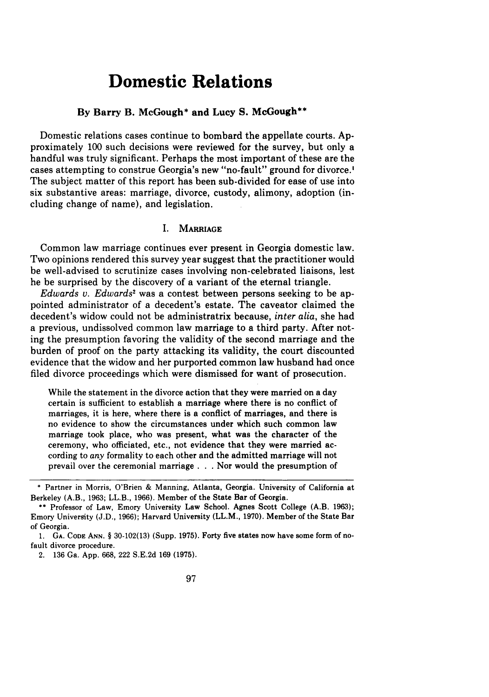# **Domestic Relations**

#### **By Barry B. McGough\* and Lucy S. McGough\*\***

Domestic relations cases continue to bombard the appellate courts. Approximately 100 such decisions were reviewed for the survey, but only a handful was truly significant. Perhaps the most important of these are the cases attempting to construe Georgia's new "no-fault" ground for divorce.' The subject matter of this report has been sub-divided for ease of use into six substantive areas: marriage, divorce, custody, alimony, adoption (including change of name), and legislation.

#### **I.** MARRIAGE

Common law marriage continues ever present in Georgia domestic law. Two opinions rendered this survey year suggest that the practitioner would be well-advised to scrutinize cases involving non-celebrated liaisons, lest he be surprised **by** the discovery of a variant of the eternal triangle.

*Edwards v. Edwards2* was a contest between persons seeking to be appointed administrator of a decedent's estate. The caveator claimed the decedent's widow could not be administratrix because, *inter alia,* she had a previous, undissolved common law marriage to a third party. After noting the presumption favoring the validity of the second marriage and the burden of proof on the party attacking its validity, the court discounted evidence that the widow and her purported common law husband had once filed divorce proceedings which were dismissed for want of prosecution.

While the statement in the divorce action that they were married on a day certain is sufficient to establish a marriage where there is no conflict of marriages, it is here, where there is a conflict of marriages, and there is no evidence to show the circumstances under which such common law marriage took place, who was present, what was the character of the ceremony, who officiated, etc., not evidence that they were married according to *any* formality to each other and the admitted marriage will not prevail over the ceremonial marriage **. . .** Nor would the presumption of

**<sup>\*</sup>** Partner in Morris, O'Brien **&** Manning, Atlanta, Georgia. University of California at Berkeley (A.B., 1963; LL.B., 1966). Member of the State Bar of Georgia.

**<sup>\*\*</sup>** Professor of Law, Emory University Law School. Agnes Scott College (A.B. 1963); Emory University (J.D., 1966); Harvard University (LL.M., 1970). Member of the State Bar of Georgia.

<sup>1.</sup> **GA. CODE ANN. §** 30-102(13) (Supp. 1975). Forty five states now have some form of nofault divorce procedure.

<sup>2. 136</sup> Ga. App. 668, 222 S.E.2d 169 (1975).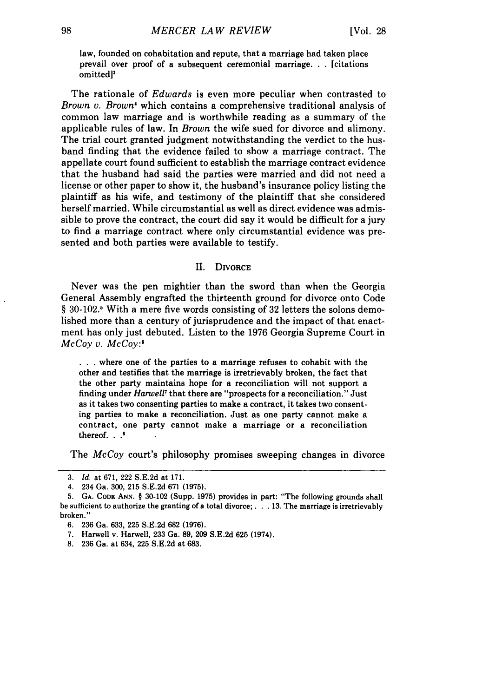law, founded on cohabitation and repute, that a marriage had taken place prevail over proof of a subsequent ceremonial marriage. . . [citations omitted]'

The rationale of *Edwards* is even more peculiar when contrasted to *Brown v. Brown'* which contains a comprehensive traditional analysis of common law marriage and is worthwhile reading as a summary of the applicable rules of law. In *Brown* the wife sued for divorce and alimony. The trial court granted judgment notwithstanding the verdict to the husband finding that the evidence failed to show a marriage contract. The appellate court found sufficient to establish the marriage contract evidence that the husband had said the parties were married and did not need a license or other paper to show it, the husband's insurance policy listing the plaintiff as his wife, and testimony of the plaintiff that she considered herself married. While circumstantial as well as direct evidence was admissible to prove the contract, the court did say it would be difficult for a jury to find a marriage contract where only circumstantial evidence was presented and both parties were available to testify.

#### II. DIVORCE

Never was the pen mightier than the sword than when the Georgia General Assembly engrafted the thirteenth ground for divorce onto Code  $\S 30-102$ <sup>5</sup> With a mere five words consisting of 32 letters the solons demolished more than a century of jurisprudence and the impact of that enactment has only just debuted. Listen to the 1976 Georgia Supreme Court in *McCoy v. McCoy:"*

**• . .** where one of the parties to a marriage refuses to cohabit with the other and testifies that the marriage is irretrievably broken, the fact that the other party maintains hope for a reconciliation will not support a finding under *Harwell'* that there are "prospects for a reconciliation." Just as it takes two consenting parties to make a contract, it takes two consenting parties to make a reconciliation. Just as one party cannot make a contract, one party cannot make a marriage or a reconciliation thereof. **..**

The *McCoy* court's philosophy promises sweeping changes in divorce

<sup>3.</sup> *Id.* at 671, 222 S.E.2d at 171.

<sup>4. 234</sup> Ga. 300, 215 S.E.2d 671 (1975).

**<sup>5.</sup> GA. CODE ANN. § 30-102** (Supp. **1975)** provides in part: "The following grounds shall be sufficient to authorize the granting of a total divorce; **... 13.** The marriage is irretrievably broken."

**<sup>6. 236</sup>** Ga. **633, 225 S.E.2d 682 (1976).**

**<sup>7.</sup>** Harwell v. Harwell, **233** Ga. **89, 209 S.E.2d 625** (1974).

**<sup>8. 236</sup>** Ga. at 634, **225 S.E.2d** at **683.**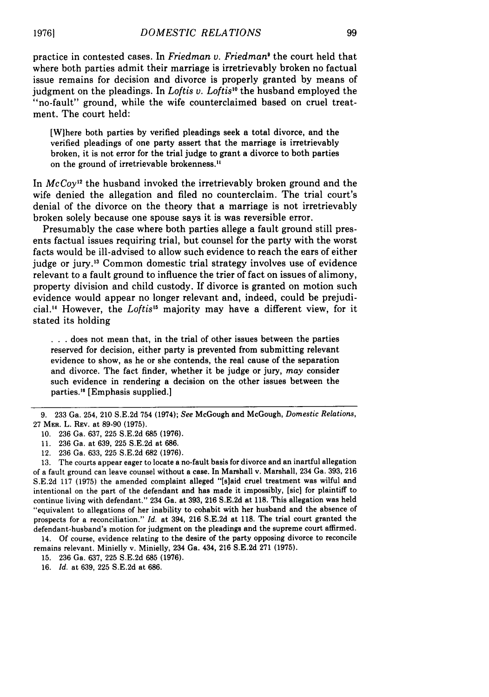practice in contested cases. In *Friedman v. Friedman'* the court held that where both parties admit their marriage is irretrievably broken no factual issue remains for decision and divorce is properly granted by means of judgment on the pleadings. In *Loftis v. Loftis"* the husband employed the "no-fault" ground, while the wife counterclaimed based on cruel treatment. The court held:

[Wihere both parties by verified pleadings seek a total divorce, and the verified pleadings of one party assert that the marriage is irretrievably broken, it is not error for the trial judge to grant a divorce to both parties on the ground of irretrievable brokenness."

In *McCoy <sup>2</sup>*the husband invoked the irretrievably broken ground and the wife denied the allegation and filed no counterclaim. The trial court's denial of the divorce on the theory that a marriage is not irretrievably broken solely because one spouse says it is was reversible error.

Presumably the case where both parties allege a fault ground still presents factual issues requiring trial, but counsel for the party with the worst facts would be ill-advised to allow such evidence to reach the ears of either judge or jury.'3 Common domestic trial strategy involves use of evidence relevant to a fault ground to influence the trier of fact on issues of alimony, property division and child custody. If divorce is granted on motion such evidence would appear no longer relevant and, indeed, could be prejudicial." However, the *Loftis'5* majority may have a different view, for it stated its holding

**. . .** does not mean that, in the trial of other issues between the parties reserved for decision, either party is prevented from submitting relevant evidence to show, as he or she contends, the real cause of the separation and divorce. The fact finder, whether it be judge or jury, *may* consider such evidence in rendering a decision on the other issues between the parties." [Emphasis supplied.]

12. 236 Ga. 633, 225 S.E.2d 682 (1976).

13. The courts appear eager to locate a no-fault basis for divorce and an inartful allegation of a fault ground can leave counsel without a case. In Marshall v. Marshall, 234 Ga. 393, 216 S.E.2d **117** (1975) the amended complaint alleged "[s]aid cruel treatment was wilful and intentional on the part of the defendant and has made it impossibly, [sic] for plaintiff to continue living with defendant." 234 Ga. at 393, 216 S.E.2d at 118. This allegation was held "equivalent to allegations of her inability to cohabit with her husband and the absence of prospects for a reconciliation." *Id.* at 394, 216 S.E.2d at 118. The trial court granted the defendant-husband's motion for judgment on the pleadings and the supreme court affirmed. 14. Of course, evidence relating to the desire of the party opposing divorce to reconcile

remains relevant. Minielly v. Minielly, 234 Ga. 434, 216 S.E.2d 271 (1975).

15. 236 Ga. 637, 225 S.E.2d 685 (1976).

16. *Id.* at 639, 225 S.E.2d at 686.

<sup>9. 233</sup> Ga. 254, 210 S.E.2d 754 (1974); *See* McGough and McGough, *Domestic Relations,* 27 MER. L. REV. at 89-90 (1975).

<sup>10. 236</sup> Ga. 637, 225 S.E.2d 685 (1976).

<sup>11. 236</sup> Ga. at 639, 225 S.E.2d at 686.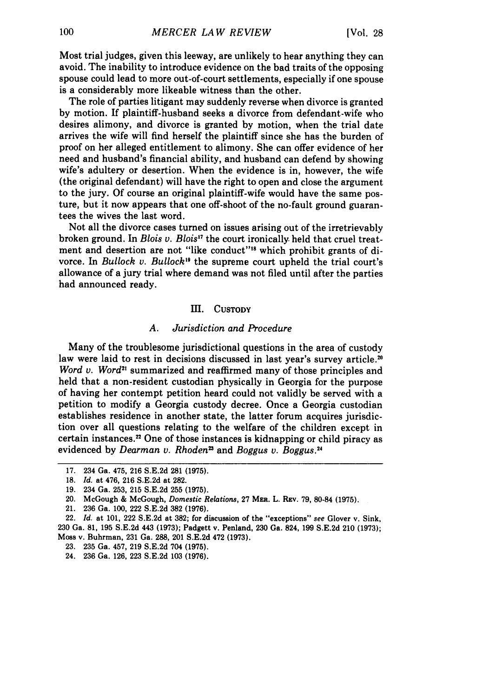Most trial judges, given this leeway, are unlikely to hear anything they can avoid. The inability to introduce evidence on the bad traits of the opposing spouse could lead to more out-of-court settlements, especially if one spouse is a considerably more likeable witness than the other.

The role of parties litigant may suddenly reverse when divorce is granted by motion. If plaintiff-husband seeks a divorce from defendant-wife who desires alimony, and divorce is granted by motion, when the trial date arrives the wife will find herself the plaintiff since she has the burden of proof on her alleged entitlement to alimony. She can offer evidence of her need and husband's financial ability, and husband can defend by showing wife's adultery or desertion. When the evidence is in, however, the wife (the original defendant) will have the right to open and close the argument to the jury. Of course an original plaintiff-wife would have the same posture, but it now appears that one off-shoot of the no-fault ground guarantees the wives the last word.

Not all the divorce cases turned on issues arising out of the irretrievably broken ground. In *Blois v. Blois"* the court ironically. held that cruel treatment and desertion are not "like conduct"<sup>18</sup> which prohibit grants of divorce. In *Bullock v. Bullock"* the supreme court upheld the trial court's allowance of a jury trial where demand was not filed until after the parties had announced ready.

#### III. **CUSTODY**

#### *A. Jurisdiction and Procedure*

Many of the troublesome jurisdictional questions in the area of custody law were laid to rest in decisions discussed in last year's survey article.<sup>20</sup> *Word v. Word*<sup>21</sup> summarized and reaffirmed many of those principles and held that a non-resident custodian physically in Georgia for the purpose of having her contempt petition heard could not validly be served with a petition to modify a Georgia custody decree. Once a Georgia custodian establishes residence in another state, the latter forum acquires jurisdiction over all questions relating to the welfare of the children except in certain instances.<sup>22</sup> One of those instances is kidnapping or child piracy as evidenced **by** *Dearman v. Rhodena* and *Boggus v. Boggus.24*

<sup>17. 234</sup> Ga. 475, 216 S.E.2d 281 (1975).

<sup>18.</sup> *Id.* at 476, 216 S.E.2d at 282.

<sup>19. 234</sup> Ga. 253, 215 S.E.2d 255 (1975).

<sup>20.</sup> McGough **&** McGough, *Domestic Relations,* **27** MER. L. **REv. 79, 80-84 (1975).**

<sup>21.</sup> **236** Ga. **100,** 222 **S.E.2d 382 (1976).**

<sup>22.</sup> *Id.* at **101,** 222 **S.E.2d** at **382;** for discussion of the "exceptions" *see* Glover v. Sink, **230** Ga. **81, 195 S.E.2d** 443 **(1973);** Padgett v. Penland, **230** Ga. 824, **199 S.E.2d** 210 **(1973);** Moss v. Buhrman, **231** Ga. **288,** 201 **S.E.2d** 472 **(1973).**

**<sup>23. 235</sup>** Ga. 457, **219 S.E.2d** 704 **(1975).**

<sup>24.</sup> **236** Ga. **126, 223 S.E.2d 103 (1976).**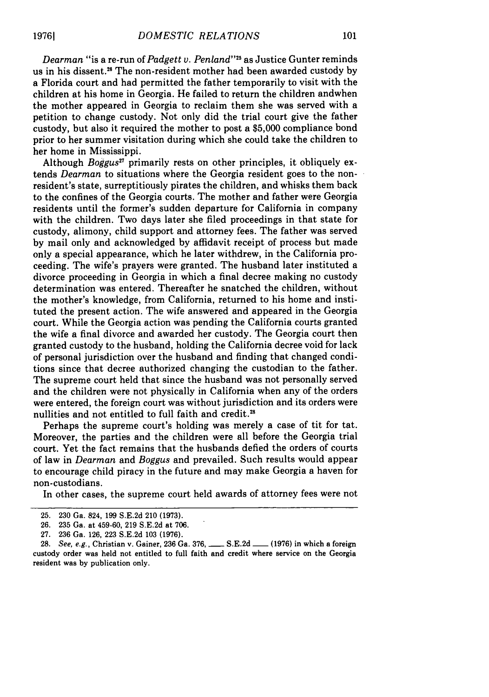*Dearman* "is a re-run of *Padgett v. Penland"2 <sup>5</sup>*as Justice Gunter reminds us in his dissent."8 The non-resident mother had been awarded custody by a Florida court and had permitted the father temporarily to visit with the children at his home in Georgia. He failed to return the children andwhen the mother appeared in Georgia to reclaim them she was served with a petition to change custody. Not only did the trial court give the father custody, but also it required the mother to post a \$5,000 compliance bond prior to her summer visitation during which she could take the children to her home in Mississippi.

Although *Bogus"* primarily rests on other principles, it obliquely extends *Dearman* to situations where the Georgia resident goes to the nonresident's state, surreptitiously pirates the children, and whisks them back to the confines of the Georgia courts. The mother and father were Georgia residents until the former's sudden departure for California in company with the children. Two days later she filed proceedings in that state for custody, alimony, child support and attorney fees. The father was served by mail only and acknowledged by affidavit receipt of process but made only a special appearance, which he later withdrew, in the California proceeding. The wife's prayers were granted. The husband later instituted a divorce proceeding in Georgia in which a final decree making no custody determination was entered. Thereafter he snatched the children, without the mother's knowledge, from California, returned to his home and instituted the present action. The wife answered and appeared in the Georgia court. While the Georgia action was pending the California courts granted the wife a final divorce and awarded her custody. The Georgia court then granted custody to the husband, holding the California decree void for lack of personal jurisdiction over the husband and finding that changed conditions since that decree authorized changing the custodian to the father. The supreme court held that since the husband was not personally served and the children were not physically in California when any of the orders were entered, the foreign court was without jurisdiction and its orders were nullities and not entitled to full faith and credit.<sup>28</sup>

Perhaps the supreme court's holding was merely a case of tit for tat. Moreover, the parties and the children were all before the Georgia trial court. Yet the fact remains that the husbands defied the orders of courts of law in *Dearman* and *Boggus* and prevailed. Such results would appear to encourage child piracy in the future and may make Georgia a haven for non-custodians.

In other cases, the supreme court held awards of attorney fees were not

<sup>25. 230</sup> Ga. 824, 199 S.E.2d 210 (1973).

<sup>26. 235</sup> Ga. at 459-60, 219 S.E.2d at 706.

<sup>27. 236</sup> Ga. 126, 223 S.E.2d 103 (1976).

<sup>28.</sup> See, e.g., Christian v. Gainer, 236 Ga. 376, **-** S.E.2d **-** (1976) in which a foreign custody order was held not entitled to full faith and credit where service on the Georgia resident was **by** publication only.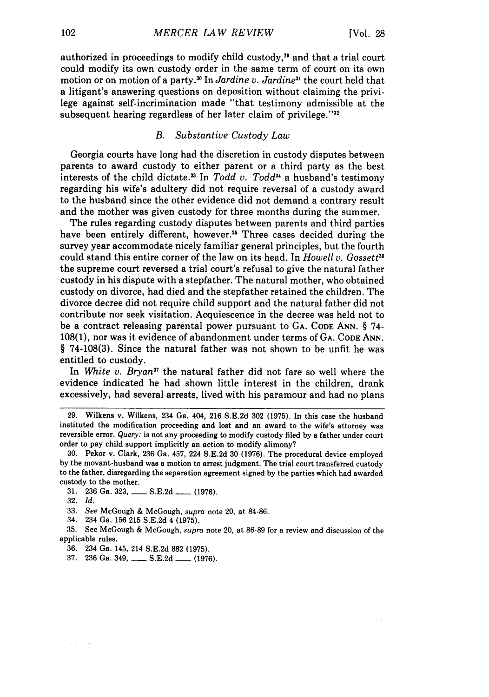authorized in proceedings to modify child custody, 29 and that a trial court could modify its own custody order in the same term of court on its own motion or on motion of a party.<sup>30</sup> In *Jardine v. Jardine*<sup>31</sup> the court held that a litigant's answering questions on deposition without claiming the privilege against self-incrimination made "that testimony admissible at the subsequent hearing regardless of her later claim of privilege." $32$ 

#### *B. Substantive Custody Law*

Georgia courts have long had the discretion in custody disputes between parents to award custody to either parent or a third party as the best interests of the child dictate.<sup>33</sup> In *Todd v. Todd*<sup>34</sup> a husband's testimony regarding his wife's adultery did not require reversal of a custody award to the husband since the other evidence did not demand a contrary result and the mother was given custody for three months during the summer.

The rules regarding custody disputes between parents and third parties have been entirely different, however.<sup>35</sup> Three cases decided during the survey year accommodate nicely familiar general principles, but the fourth could stand this entire corner of the law on its head. In *Howell v. Gossett<sup>36</sup>* the supreme court reversed a trial court's refusal to give the natural father custody in his dispute with a stepfather. The natural mother, who obtained custody on divorce, had died and the stepfather retained the children. The divorce decree did not require child support and the natural father did not contribute nor seek visitation. Acquiescence in the decree was held not to be a contract releasing parental power pursuant to **GA.** CODE ANN. § 74- 108(1), nor was it evidence of abandonment under terms of **GA.** CODE ANN. **§** 74-108(3). Since the natural father was not shown to be unfit he was entitled to custody.

In *White v. Bryan*<sup>37</sup> the natural father did not fare so well where the evidence indicated he had shown little interest in the children, drank excessively, had several arrests, lived with his paramour and had no plans

and the state

<sup>29.</sup> Wilkens v. Wilkens, 234 Ga. 404, 216 S.E.2d 302 (1975). In this case the husband instituted the modification proceeding and lost and an award to the wife's attorney was reversible error. Query: is not any proceeding to modify custody filed by a father under court order to pay child support implicitly an action to modify alimony?

<sup>30.</sup> Pekor v. Clark, 236 Ga. 457, 224 S.E.2d 30 (1976). The procedural device employed by the movant-husband was a motion to arrest judgment. The trial court transferred custody to the father, disregarding the separation agreement signed by the parties which had awarded custody to the mother.

<sup>31. 236</sup> Ga. 323, \_\_\_\_\_ S.E.2d \_\_\_\_ (1976).

<sup>32.</sup> *Id.*

<sup>33.</sup> *See* McGough & McGough, *supra* note 20, at 84-86.

<sup>34. 234</sup> Ga. 156 215 S.E.2d 4 (1975).

<sup>35.</sup> See McGough & McGough, *supra* note 20, at 86-89 for a review and discussion of the applicable rules.

<sup>36. 234</sup> Ga. 145, 214 S.E.2d 882 (1975).

<sup>37. 236</sup> Ga. 349, **-** S.E.2d **-** (1976).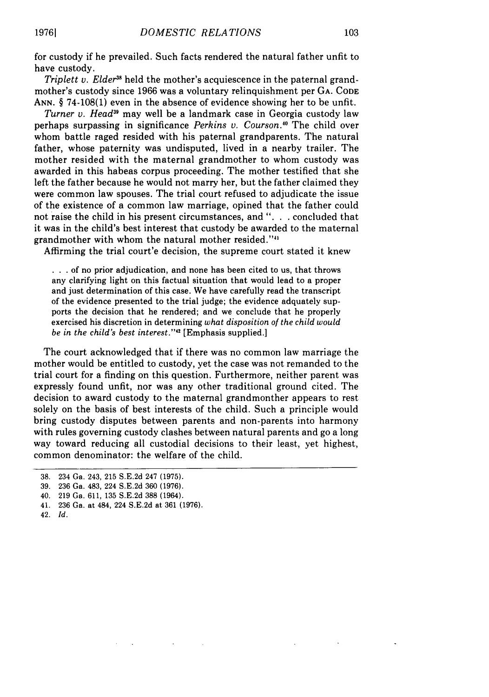for custody if he prevailed. Such facts rendered the natural father unfit to have custody.

*Triplett v. Elder"8* held the mother's acquiescence in the paternal grandmother's custody since 1966 was a voluntary relinquishment per **GA. CODE ANN.** § 74-108(1) even in the absence of evidence showing her to be unfit.

*Turner v. Head39* may well be a landmark case in Georgia custody law perhaps surpassing in significance *Perkins v. Courson*.<sup>40</sup> The child over whom battle raged resided with his paternal grandparents. The natural father, whose paternity was undisputed, lived in a nearby trailer. The mother resided with the maternal grandmother to whom custody was awarded in this habeas corpus proceeding. The mother testified that she left the father because he would not marry her, but the father claimed they were common law spouses. The trial court refused to adjudicate the issue of the existence of a common law marriage, opined that the father could not raise the child in his present circumstances, and ". **.** . concluded that it was in the child's best interest that custody be awarded to the maternal grandmother with whom the natural mother resided."<sup>41</sup>

Affirming the trial court'e decision, the supreme court stated it knew

**• ..**of no prior adjudication, and none has been cited to us, that throws any clarifying light on this factual situation that would lead to a proper and just determination of this case. We have carefully read the transcript of the evidence presented to the trial judge; the evidence adquately supports the decision that he rendered; and we conclude that he properly exercised his discretion in determining *what disposition of the child would be in the child's best interest."'2* [Emphasis supplied.]

The court acknowledged that if there was no common law marriage the mother would be entitled to custody, yet the case was not remanded to the trial court for a finding on this question. Furthermore, neither parent was expressly found unfit, nor was any other traditional ground cited. The decision to award custody to the maternal grandmonther appears to rest solely on the basis of best interests of the child. Such a principle would bring custody disputes between parents and non-parents into harmony with rules governing custody clashes between natural parents and go a long way toward reducing all custodial decisions to their least, yet highest, common denominator: the welfare of the child.

- 41. 236 Ga. at 484, 224 S.E.2d at 361 (1976).
- 42. *Id.*

<sup>38. 234</sup> Ga. 243, 215 S.E.2d 247 (1975).

<sup>39. 236</sup> Ga. 483, 224 S.E.2d 360 (1976).

<sup>40. 219</sup> Ga. 611, 135 S.E.2d 388 (1964).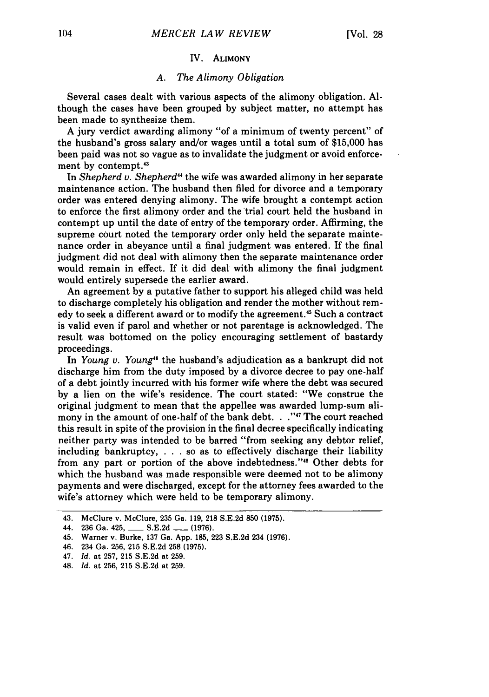#### IV. ALIMONY

#### *A. The Alimony Obligation*

Several cases dealt with various aspects of the alimony obligation. Although the cases have been grouped by subject matter, no attempt has been made to synthesize them.

A jury verdict awarding alimony "of a minimum of twenty percent" of the husband's gross salary and/or wages until a total sum of \$15,000 has been paid was not so vague as to invalidate the judgment or avoid enforcement by contempt.43

In *Shepherd v. Shepherd"* the wife was awarded alimony in her separate maintenance action. The husband then filed for divorce and a temporary order was entered denying alimony. The wife brought a contempt action to enforce the first alimony order and the trial court held the husband in contempt up until the date of entry of the temporary order. Affirming, the supreme court noted the temporary order only held the separate maintenance order in abeyance until a final judgment was entered. If the final judgment did not deal with alimony then the separate maintenance order would remain in effect. If it did deal with alimony the final judgment would entirely supersede the earlier award.

An agreement by a putative father to support his alleged child was held to discharge completely his obligation and render the mother without remedy to seek a different award or to modify the agreement.<sup>45</sup> Such a contract is valid even if parol and whether or not parentage is acknowledged. The result was bottomed on the policy encouraging settlement of bastardy proceedings.

In *Young v. Young"* the husband's adjudication as a bankrupt did not discharge him from the duty imposed by a divorce decree to pay one-half of a debt jointly incurred with his former wife where the debt was secured by a lien on the wife's residence. The court stated: "We construe the original judgment to mean that the appellee was awarded lump-sum alimony in the amount of one-half of the bank debt. **. .'"** The court reached this result in spite of the provision in the final decree specifically indicating neither party was intended to be barred "from seeking any debtor relief, including bankruptcy, . . . so as to effectively discharge their liability from any part or portion of the above indebtedness."<sup>48</sup> Other debts for which the husband was made responsible were deemed not to be alimony payments and were discharged, except for the attorney fees awarded to the wife's attorney which were held to be temporary alimony.

<sup>43.</sup> McClure v. McClure, 235 Ga. 119, 218 S.E.2d 850 (1975).

<sup>44. 236</sup> Ga. 425, **-** S.E.2d **-** (1976).

<sup>45.</sup> Warner v. Burke, 137 Ga. App. 185, 223 S.E.2d 234 (1976).

<sup>46. 234</sup> Ga. 256, 215 S.E.2d 258 (1975).

<sup>47.</sup> *Id.* at 257, 215 S.E.2d at 259.

<sup>48.</sup> *Id.* at 256, 215 S.E.2d at 259.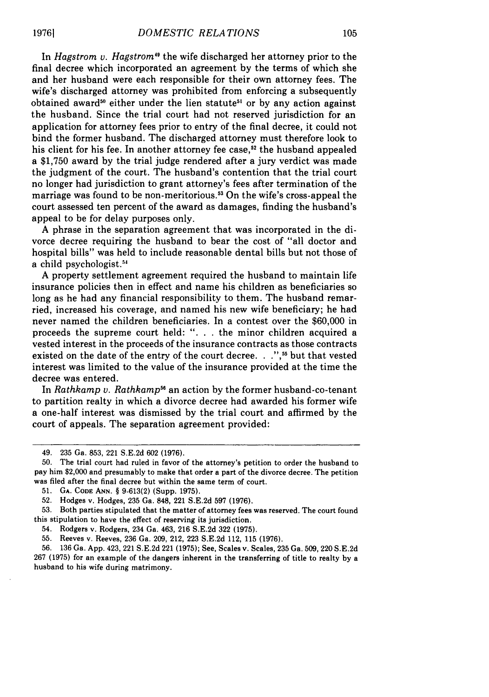In *Hagstrom v. Hagstrom*" the wife discharged her attorney prior to the final decree which incorporated an agreement by the terms of which she and her husband were each responsible for their own attorney fees. The wife's discharged attorney was prohibited from enforcing a subsequently obtained award<sup>50</sup> either under the lien statute<sup>51</sup> or by any action against the husband. Since the trial court had not reserved jurisdiction for an application for attorney fees prior to entry of the final decree, it could not bind the former husband. The discharged attorney must therefore look to his client for his fee. In another attorney fee case,<sup>52</sup> the husband appealed a \$1,750 award by the trial judge rendered after a jury verdict was made the judgment of the court. The husband's contention that the trial court no longer had jurisdiction to grant attorney's fees after termination of the marriage was found to be non-meritorious.<sup>53</sup> On the wife's cross-appeal the court assessed ten percent of the award as damages, finding the husband's appeal to be for delay purposes only.

A phrase in the separation agreement that was incorporated in the divorce decree requiring the husband to bear the cost of "all doctor and hospital bills" was held to include reasonable dental bills but not those of a child psychologist.<sup>54</sup>

A property settlement agreement required the husband to maintain life insurance policies then in effect and name his children as beneficiaries so long as he had any financial responsibility to them. The husband remarried, increased his coverage, and named his new wife beneficiary; he had never named the children beneficiaries. In a contest over the \$60,000 in proceeds the supreme court held: ". **.** . the minor children acquired a vested interest in the proceeds of the insurance contracts as those contracts existed on the date of the entry of the court decree. **. . ,5** but that vested interest was limited to the value of the insurance provided at the time the decree was entered.

In *Rathkamp v. Rathkamp<sup>56</sup>* an action by the former husband-co-tenant to partition realty in which a divorce decree had awarded his former wife a one-half interest was dismissed by the trial court and affirmed by the court of appeals. The separation agreement provided:

**51. GA. CODE ANN.** § 9-613(2) (Supp. **1975).**

53. Both parties stipulated that the matter of attorney fees was reserved. The court found this stipulation to have the effect of reserving its jurisdiction.

**19761**

<sup>49. 235</sup> Ga. 853, 221 S.E.2d 602 (1976).

<sup>50.</sup> The trial court had ruled in favor of the attorney's petition to order the husband to pay him \$2,000 and presumably to make that order a part of the divorce decree. The petition was filed after the final decree but within the same term of court.

**<sup>52.</sup>** Hodges v. Hodges, **235** Ga. 848, 221 S.E.2d 597 (1976).

<sup>54.</sup> Rodgers v. Rodgers, 234 Ga. 463, 216 S.E.2d 322 (1975).

<sup>55.</sup> Reeves v. Reeves, 236 Ga. 209, 212, 223 S.E.2d 112, 115 (1976).

<sup>56. 136</sup> Ga. App. 423, 221 S.E.2d 221 (1975); See, Scales v. Scales, 235 Ga. 509, 220 S.E.2d 267 (1975) for an example of the dangers inherent in the transferring of title to realty by a husband to his wife during matrimony.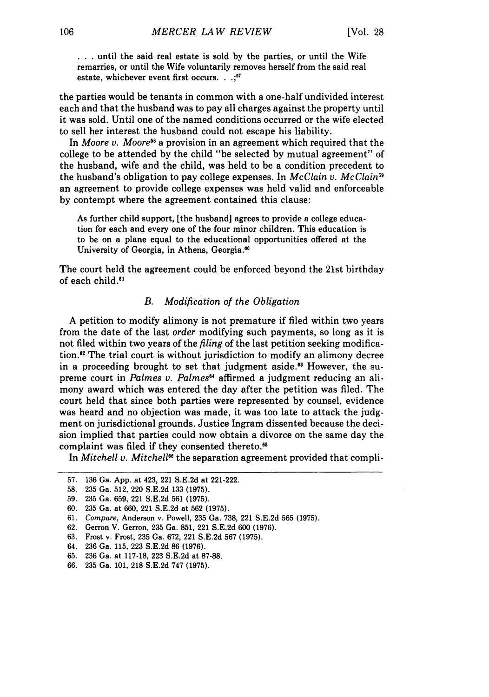**• . .** until the said real estate is sold by the parties, or until the Wife remarries, or until the Wife voluntarily removes herself from the said real estate, whichever event first occurs...; $57$ 

the parties would be tenants in common with a one-half undivided interest each and that the husband was to pay all charges against the property until it was sold. Until one of the named conditions occurred or the wife elected to sell her interest the husband could not escape his liability.

In *Moore v. Moore*<sup>58</sup> a provision in an agreement which required that the college to be attended by the child "be selected by mutual agreement" of the husband, wife and the child, was held to be a condition precedent to the husband's obligation to pay college expenses. In *McClain v. McClain9* an agreement to provide college expenses was held valid and enforceable by contempt where the agreement contained this clause:

As further child support, [the husband] agrees to provide a college education for each and every one of the four minor children. This education is to be on a plane equal to the educational opportunities offered at the University of Georgia, in Athens, Georgia.<sup>60</sup>

The court held the agreement could be enforced beyond the 21st birthday of each child."

#### *B. Modification of the Obligation*

A petition to modify alimony is not premature if filed within two years from the date of the last *order* modifying such payments, so long as it is not filed within two years of the *filing* of the last petition seeking modification.<sup>82</sup> The trial court is without jurisdiction to modify an alimony decree in a proceeding brought to set that judgment aside.<sup>63</sup> However, the supreme court in *Palmes v. Palmes<sup>64</sup>* affirmed a judgment reducing an alimony award which was entered the day after the petition was filed. The court held that since both parties were represented by counsel, evidence was heard and no objection was made, it was too late to attack the judgment on jurisdictional grounds. Justice Ingram dissented because the decision implied that parties could now obtain a divorce on the same day the complaint was filed if they consented thereto.<sup>65</sup>

In *Mitchell v. Mitchell"6* the separation agreement provided that compli-

- 63. Frost v. Frost, 235 Ga. 672, 221 S.E.2d 567 (1975).
- 64. 236 Ga. 115, 223 S.E.2d 86 (1976).
- 65. 236 Ga. at 117-18, 223 S.E.2d at 87-88.
- 66. 235 Ga. 101, 218 S.E.2d 747 (1975).

<sup>57. 136</sup> Ga. App. at 423, 221 S.E.2d at 221-222.

<sup>58. 235</sup> Ga. 512, 220 S.E.2d 133 (1975).

<sup>59. 235</sup> Ga. 659, 221 S.E.2d 561 (1975).

<sup>60. 235</sup> Ga. at 660, 221 S.E.2d at 562 (1975).

<sup>61.</sup> *Compare,* Anderson v. Powell, 235 Ga. 738, 221 S.E.2d 565 (1975).

<sup>62.</sup> Gerron V. Gerron, 235 Ga. 851, 221 S.E.2d 600 (1976).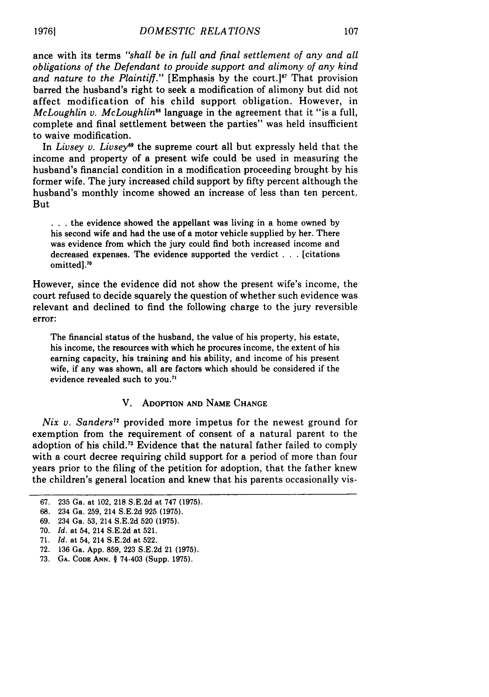ance with its terms *"shall be in full and final settlement of any and all obligations of the Defendant to provide support and alimony of any kind and nature to the Plaintiff.*" [Emphasis by the court.]<sup>67</sup> That provision barred the husband's right to seek a modification of alimony but did not affect modification of his child support obligation. However, in *McLoughlin v. McLoughlin*<sup>68</sup> language in the agreement that it "is a full, complete and final settlement between the parties" was held insufficient to waive modification.

In *Livsey v. Livsey*<sup>69</sup> the supreme court all but expressly held that the income and property of a present wife could be used in measuring the husband's financial condition in a modification proceeding brought by his former wife. The jury increased child support by fifty percent although the husband's monthly income showed an increase of less than ten percent. But

**...** the evidence showed the appellant was living in a home owned by his second wife and had the use of a motor vehicle supplied by her. There was evidence from which the jury could find both increased income and decreased expenses. The evidence supported the verdict . **. .** [citations omitted] **."**

However, since the evidence did not show the present wife's income, the court refused to decide squarely the question of whether such evidence was relevant and declined to find the following charge to the jury reversible error:

The financial status of the husband, the value of his property, his estate, his income, the resources with which he procures income, the extent of his earning capacity, his training and his ability, and income of his present wife, if any was shown, all are factors which should be considered if the evidence revealed such to you.<sup>71</sup>

#### V. ADOPTION **AND** NAME **CHANGE**

*Nix v. Sanders"* provided more impetus for the newest ground for exemption from the requirement of consent of a natural parent to the adoption of his child.73 Evidence that the natural father failed to comply with a court decree requiring child support for a period of more than four years prior to the filing of the petition for adoption, that the father knew the children's general location and knew that his parents occasionally vis-

<sup>67. 235</sup> Ga. at 102, 218 S.E.2d at 747 (1975).

<sup>68. 234</sup> Ga. 259, 214 S.E.2d 925 (1975).

<sup>69. 234</sup> Ga. 53, 214 S.E.2d 520 **(1975).**

<sup>70.</sup> *Id.* at 54, 214 S.E.2d at 521.

<sup>71.</sup> *Id.* at 54, 214 S.E.2d at 522.

<sup>72. 136</sup> Ga. App. 859, 223 S.E.2d 21 (1975).

**<sup>73.</sup> GA. CODE ANN.** § 74-403 (Supp. **1975).**